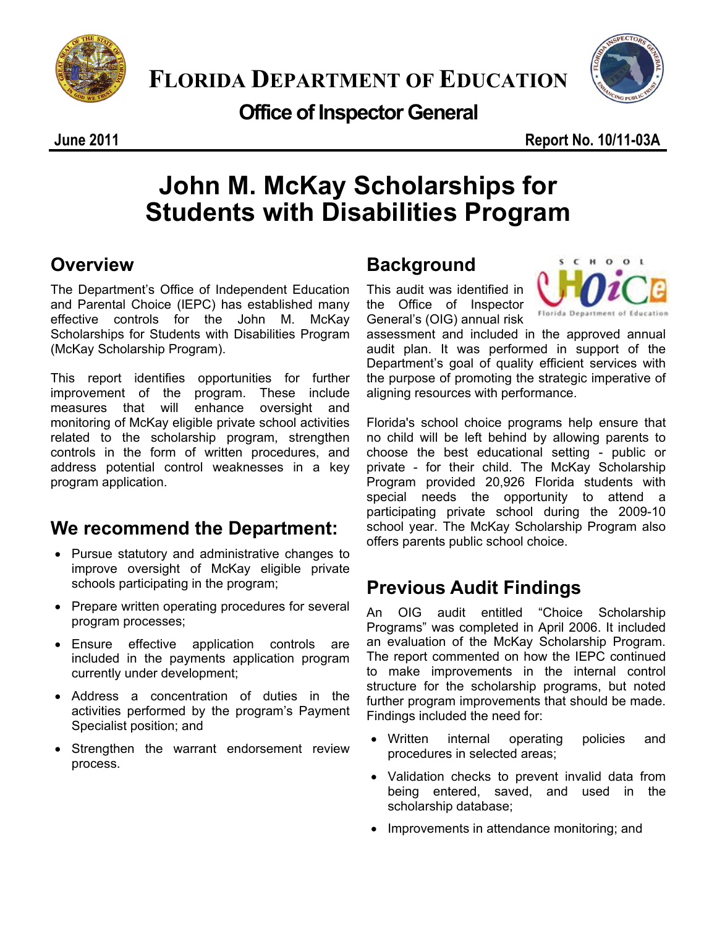



**Office of Inspector General** 

# **John M. McKay Scholarships for Students with Disabilities Program**

## **Overview**

 and Parental Choice (IEPC) has established many The Department's Office of Independent Education effective controls for the John M. McKay Scholarships for Students with Disabilities Program (McKay Scholarship Program).

This report identifies opportunities for further improvement of the program. These include measures that will enhance oversight and monitoring of McKay eligible private school activities related to the scholarship program, strengthen controls in the form of written procedures, and address potential control weaknesses in a key program application.

## **We recommend the Department:**

- Pursue statutory and administrative changes to improve oversight of McKay eligible private schools participating in the program;
- program processes; • Prepare written operating procedures for several
- Ensure effective application controls are included in the payments application program currently under development;
- Address a concentration of duties in the activities performed by the program's Payment Specialist position; and
- Strengthen the warrant endorsement review process.

# **Background**

This audit was identified in the Office of Inspector General's (OIG) annual risk



assessment and included in the approved annual audit plan. It was performed in support of the Department's goal of quality efficient services with the purpose of promoting the strategic imperative of aligning resources with performance.

Florida's school choice programs help ensure that no child will be left behind by allowing parents to choose the best educational setting - public or private - for their child. The McKay Scholarship Program provided 20,926 Florida students with special needs the opportunity to attend a participating private school during the 2009-10 school year. The McKay Scholarship Program also offers parents public school choice.

## **Previous Audit Findings**

An OIG audit entitled "Choice Scholarship Programs" was completed in April 2006. It included an evaluation of the McKay Scholarship Program. The report commented on how the IEPC continued to make improvements in the internal control structure for the scholarship programs, but noted further program improvements that should be made. Findings included the need for:

- Written internal operating policies and procedures in selected areas;
- Validation checks to prevent invalid data from being entered, saved, and used in the scholarship database;
- Improvements in attendance monitoring; and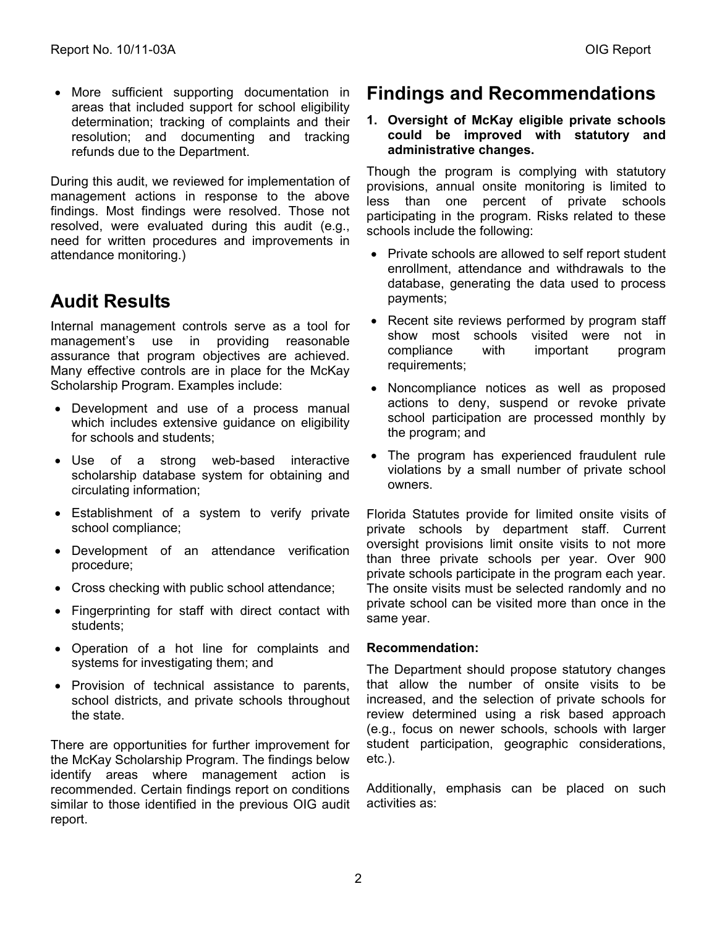• More sufficient supporting documentation in areas that included support for school eligibility determination; tracking of complaints and their resolution; and documenting and tracking refunds due to the Department.

During this audit, we reviewed for implementation of management actions in response to the above findings. Most findings were resolved. Those not resolved, were evaluated during this audit (e.g., need for written procedures and improvements in attendance monitoring.)

### **Audit Results**

Internal management controls serve as a tool for management's use in providing reasonable assurance that program objectives are achieved. Many effective controls are in place for the McKay Scholarship Program. Examples include:

- Development and use of a process manual which includes extensive quidance on eligibility for schools and students;
- Use of a strong web-based interactive scholarship database system for obtaining and circulating information;
- Establishment of a system to verify private school compliance;
- • Development of an attendance verification procedure;
- Cross checking with public school attendance;
- Fingerprinting for staff with direct contact with students;
- • Operation of a hot line for complaints and systems for investigating them; and
- Provision of technical assistance to parents, school districts, and private schools throughout the state.

There are opportunities for further improvement for the McKay Scholarship Program. The findings below identify areas where management action is recommended. Certain findings report on conditions similar to those identified in the previous OIG audit report.

### **Findings and Recommendations**

#### **administrative changes. 1. Oversight of McKay eligible private schools could be improved with statutory and**

Though the program is complying with statutory provisions, annual onsite monitoring is limited to less than one percent of private schools participating in the program. Risks related to these schools include the following:

- Private schools are allowed to self report student enrollment, attendance and withdrawals to the database, generating the data used to process payments;
- Recent site reviews performed by program staff show most schools visited were not in compliance with important program requirements;
- Noncompliance notices as well as proposed actions to deny, suspend or revoke private school participation are processed monthly by the program; and
- The program has experienced fraudulent rule violations by a small number of private school owners.

Florida Statutes provide for limited onsite visits of private schools by department staff. Current oversight provisions limit onsite visits to not more than three private schools per year. Over 900 private schools participate in the program each year. The onsite visits must be selected randomly and no private school can be visited more than once in the same year.

#### **Recommendation:**

The Department should propose statutory changes that allow the number of onsite visits to be increased, and the selection of private schools for review determined using a risk based approach (e.g., focus on newer schools, schools with larger student participation, geographic considerations, etc.).

activities as:<br>2 Additionally, emphasis can be placed on such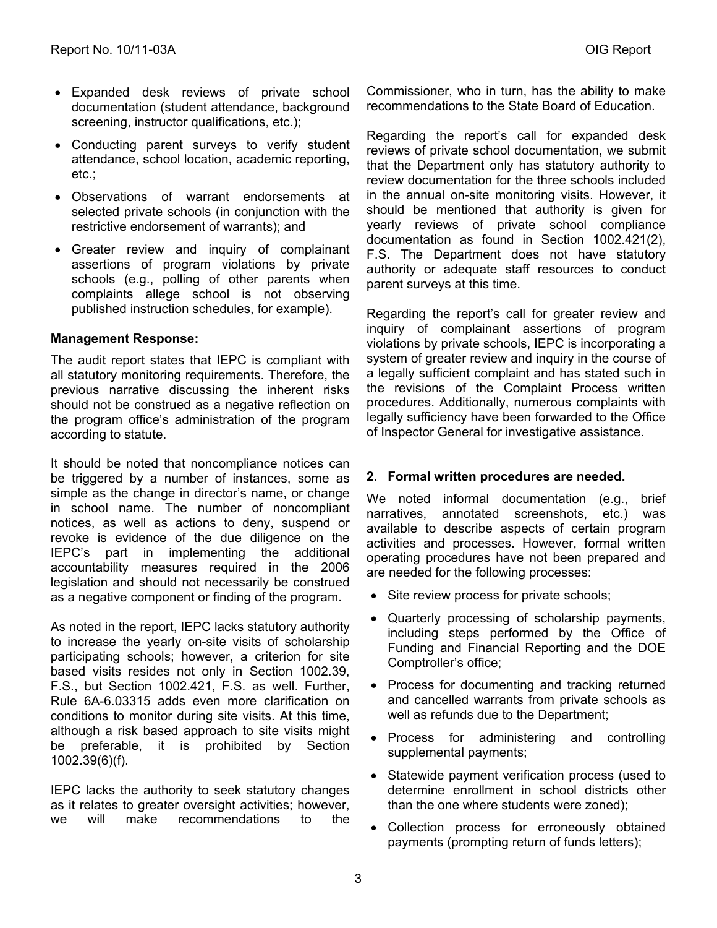- • Expanded desk reviews of private school documentation (student attendance, background screening, instructor qualifications, etc.);
- Conducting parent surveys to verify student attendance, school location, academic reporting, etc.;
- • Observations of warrant endorsements at selected private schools (in conjunction with the restrictive endorsement of warrants); and
- Greater review and inquiry of complainant assertions of program violations by private schools (e.g., polling of other parents when complaints allege school is not observing published instruction schedules, for example).

#### **Management Response:**

The audit report states that IEPC is compliant with all statutory monitoring requirements. Therefore, the previous narrative discussing the inherent risks should not be construed as a negative reflection on the program office's administration of the program according to statute.

It should be noted that noncompliance notices can be triggered by a number of instances, some as simple as the change in director's name, or change in school name. The number of noncompliant notices, as well as actions to deny, suspend or revoke is evidence of the due diligence on the IEPC's part in implementing the additional accountability measures required in the 2006 legislation and should not necessarily be construed as a negative component or finding of the program.

As noted in the report, IEPC lacks statutory authority to increase the yearly on-site visits of scholarship participating schools; however, a criterion for site based visits resides not only in Section 1002.39, F.S., but Section 1002.421, F.S. as well. Further, Rule 6A-6.03315 adds even more clarification on conditions to monitor during site visits. At this time, although a risk based approach to site visits might be preferable, it is prohibited by Section 1002.39(6)(f).

IEPC lacks the authority to seek statutory changes as it relates to greater oversight activities; however, we will make recommendations to the Commissioner, who in turn, has the ability to make recommendations to the State Board of Education.

Regarding the report's call for expanded desk reviews of private school documentation, we submit that the Department only has statutory authority to review documentation for the three schools included in the annual on-site monitoring visits. However, it should be mentioned that authority is given for yearly reviews of private school compliance documentation as found in Section 1002.421(2), F.S. The Department does not have statutory authority or adequate staff resources to conduct parent surveys at this time.

Regarding the report's call for greater review and inquiry of complainant assertions of program violations by private schools, IEPC is incorporating a system of greater review and inquiry in the course of a legally sufficient complaint and has stated such in the revisions of the Complaint Process written procedures. Additionally, numerous complaints with legally sufficiency have been forwarded to the Office of Inspector General for investigative assistance.

#### **2. Formal written procedures are needed.**

We noted informal documentation (e.g., brief narratives, annotated screenshots, etc.) was available to describe aspects of certain program activities and processes. However, formal written operating procedures have not been prepared and are needed for the following processes:

- Site review process for private schools;
- • Quarterly processing of scholarship payments, including steps performed by the Office of Funding and Financial Reporting and the DOE Comptroller's office;
- Process for documenting and tracking returned and cancelled warrants from private schools as well as refunds due to the Department;
- Process for administering and controlling supplemental payments;
- Statewide payment verification process (used to determine enrollment in school districts other than the one where students were zoned);
- • Collection process for erroneously obtained payments (prompting return of funds letters);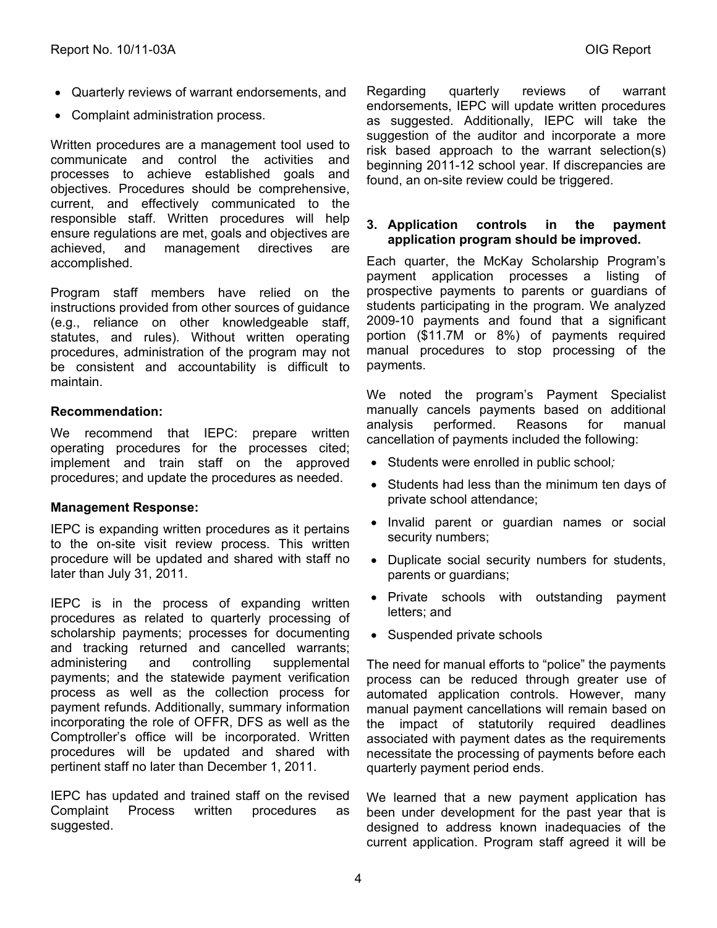- Quarterly reviews of warrant endorsements, and
- Complaint administration process.

Written procedures are a management tool used to communicate and control the activities and processes to achieve established goals and objectives. Procedures should be comprehensive, current, and effectively communicated to the responsible staff. Written procedures will help ensure regulations are met, goals and objectives are achieved, and management directives are accomplished.

Program staff members have relied on the instructions provided from other sources of guidance (e.g., reliance on other knowledgeable staff, statutes, and rules). Without written operating procedures, administration of the program may not be consistent and accountability is difficult to maintain.

#### **Recommendation:**

We recommend that IEPC: prepare written operating procedures for the processes cited; implement and train staff on the approved procedures; and update the procedures as needed.

#### **Management Response:**

IEPC is expanding written procedures as it pertains to the on-site visit review process. This written procedure will be updated and shared with staff no later than July 31, 2011.

IEPC is in the process of expanding written procedures as related to quarterly processing of scholarship payments; processes for documenting and tracking returned and cancelled warrants; administering and controlling supplemental payments; and the statewide payment verification process as well as the collection process for payment refunds. Additionally, summary information incorporating the role of OFFR, DFS as well as the Comptroller's office will be incorporated. Written procedures will be updated and shared with pertinent staff no later than December 1, 2011.

IEPC has updated and trained staff on the revised Complaint Process written procedures as suggested.

Regarding quarterly reviews of warrant endorsements, IEPC will update written procedures as suggested. Additionally, IEPC will take the suggestion of the auditor and incorporate a more risk based approach to the warrant selection(s) beginning 2011-12 school year. If discrepancies are found, an on-site review could be triggered.

#### **3. Application controls in the payment application program should be improved.**

Each quarter, the McKay Scholarship Program's payment application processes a listing of prospective payments to parents or guardians of students participating in the program. We analyzed 2009-10 payments and found that a significant portion (\$11.7M or 8%) of payments required manual procedures to stop processing of the payments.

We noted the program's Payment Specialist manually cancels payments based on additional analysis performed. Reasons for manual cancellation of payments included the following:

- • Students were enrolled in public school*;*
- Students had less than the minimum ten days of private school attendance;
- • Invalid parent or guardian names or social security numbers;
- Duplicate social security numbers for students, parents or guardians;
- Private schools with outstanding payment letters; and
- Suspended private schools

The need for manual efforts to "police" the payments process can be reduced through greater use of automated application controls. However, many manual payment cancellations will remain based on the impact of statutorily required deadlines associated with payment dates as the requirements necessitate the processing of payments before each quarterly payment period ends.

We learned that a new payment application has been under development for the past year that is designed to address known inadequacies of the current application. Program staff agreed it will be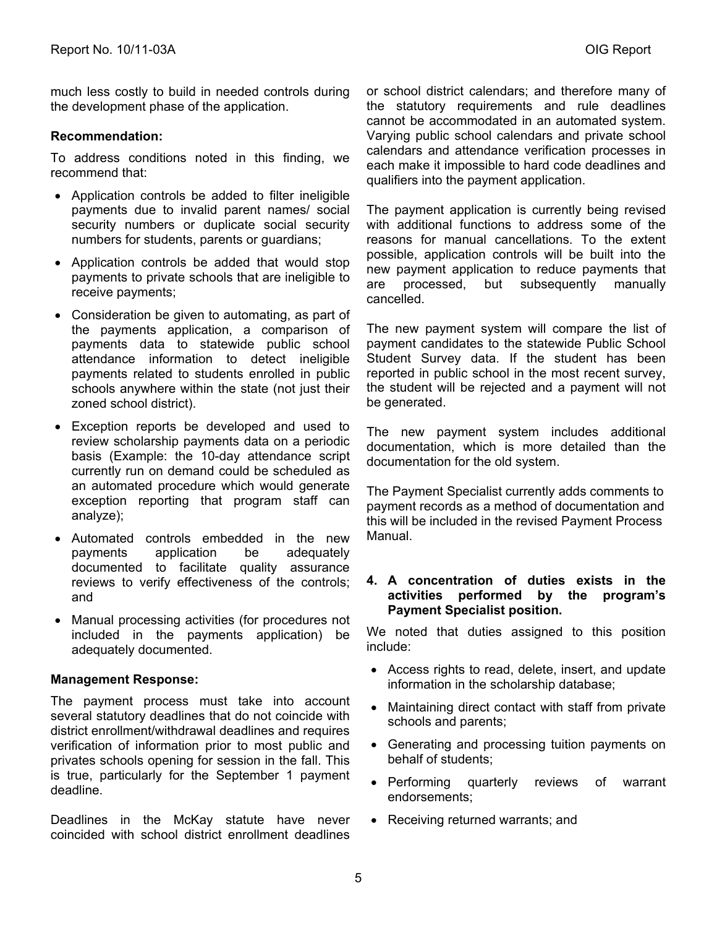much less costly to build in needed controls during the development phase of the application.

#### **Recommendation:**

To address conditions noted in this finding, we recommend that:

- Application controls be added to filter ineligible payments due to invalid parent names/ social security numbers or duplicate social security numbers for students, parents or guardians;
- Application controls be added that would stop payments to private schools that are ineligible to receive payments;
- Consideration be given to automating, as part of the payments application, a comparison of payments data to statewide public school attendance information to detect ineligible payments related to students enrolled in public schools anywhere within the state (not just their zoned school district).
- • Exception reports be developed and used to review scholarship payments data on a periodic basis (Example: the 10-day attendance script currently run on demand could be scheduled as an automated procedure which would generate exception reporting that program staff can analyze);
- • Automated controls embedded in the new payments application be adequately documented to facilitate quality assurance reviews to verify effectiveness of the controls; and
- Manual processing activities (for procedures not included in the payments application) be adequately documented.

#### **Management Response:**

The payment process must take into account several statutory deadlines that do not coincide with district enrollment/withdrawal deadlines and requires verification of information prior to most public and privates schools opening for session in the fall. This is true, particularly for the September 1 payment deadline.

Deadlines in the McKay statute have never coincided with school district enrollment deadlines or school district calendars; and therefore many of the statutory requirements and rule deadlines cannot be accommodated in an automated system. Varying public school calendars and private school calendars and attendance verification processes in each make it impossible to hard code deadlines and qualifiers into the payment application.

The payment application is currently being revised with additional functions to address some of the reasons for manual cancellations. To the extent possible, application controls will be built into the new payment application to reduce payments that are processed, but subsequently manually cancelled.

The new payment system will compare the list of payment candidates to the statewide Public School Student Survey data. If the student has been reported in public school in the most recent survey, the student will be rejected and a payment will not be generated.

The new payment system includes additional documentation, which is more detailed than the documentation for the old system.

The Payment Specialist currently adds comments to payment records as a method of documentation and this will be included in the revised Payment Process Manual.

#### **4. A concentration of duties exists in the activities performed by the program's Payment Specialist position.**

We noted that duties assigned to this position include:

- Access rights to read, delete, insert, and update information in the scholarship database;
- Maintaining direct contact with staff from private schools and parents;
- Generating and processing tuition payments on behalf of students;
- Performing quarterly reviews of warrant endorsements;
- Receiving returned warrants; and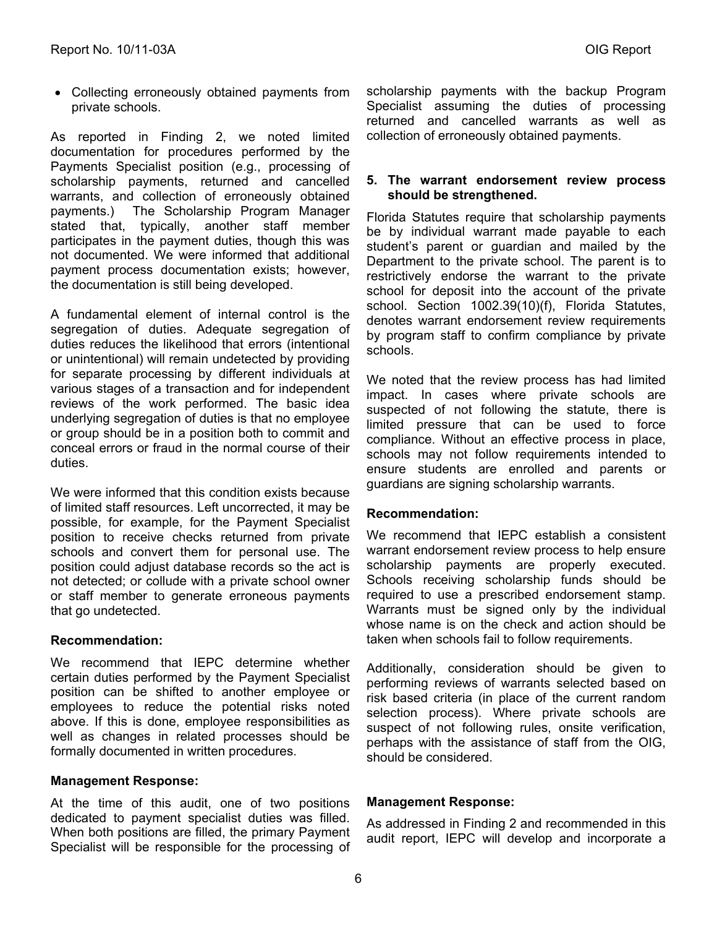• Collecting erroneously obtained payments from private schools.

As reported in Finding 2, we noted limited documentation for procedures performed by the Payments Specialist position (e.g., processing of scholarship payments, returned and cancelled warrants, and collection of erroneously obtained payments.) The Scholarship Program Manager stated that, typically, another staff member participates in the payment duties, though this was not documented. We were informed that additional payment process documentation exists; however, the documentation is still being developed.

A fundamental element of internal control is the segregation of duties. Adequate segregation of duties reduces the likelihood that errors (intentional or unintentional) will remain undetected by providing for separate processing by different individuals at various stages of a transaction and for independent reviews of the work performed. The basic idea underlying segregation of duties is that no employee or group should be in a position both to commit and conceal errors or fraud in the normal course of their duties.

We were informed that this condition exists because of limited staff resources. Left uncorrected, it may be possible, for example, for the Payment Specialist position to receive checks returned from private schools and convert them for personal use. The position could adjust database records so the act is not detected; or collude with a private school owner or staff member to generate erroneous payments that go undetected.

#### **Recommendation:**

We recommend that IEPC determine whether certain duties performed by the Payment Specialist position can be shifted to another employee or employees to reduce the potential risks noted above. If this is done, employee responsibilities as well as changes in related processes should be formally documented in written procedures.

#### **Management Response:**

At the time of this audit, one of two positions dedicated to payment specialist duties was filled. When both positions are filled, the primary Payment Specialist will be responsible for the processing of

scholarship payments with the backup Program Specialist assuming the duties of processing returned and cancelled warrants as well as collection of erroneously obtained payments.

#### **5. The warrant endorsement review process should be strengthened.**

schools. Florida Statutes require that scholarship payments be by individual warrant made payable to each student's parent or guardian and mailed by the Department to the private school. The parent is to restrictively endorse the warrant to the private school for deposit into the account of the private school. Section 1002.39(10)(f), Florida Statutes, denotes warrant endorsement review requirements by program staff to confirm compliance by private

We noted that the review process has had limited impact. In cases where private schools are suspected of not following the statute, there is limited pressure that can be used to force compliance. Without an effective process in place, schools may not follow requirements intended to ensure students are enrolled and parents or guardians are signing scholarship warrants.

#### **Recommendation:**

We recommend that IEPC establish a consistent warrant endorsement review process to help ensure scholarship payments are properly executed. Schools receiving scholarship funds should be required to use a prescribed endorsement stamp. Warrants must be signed only by the individual whose name is on the check and action should be taken when schools fail to follow requirements.

Additionally, consideration should be given to performing reviews of warrants selected based on risk based criteria (in place of the current random selection process). Where private schools are suspect of not following rules, onsite verification, perhaps with the assistance of staff from the OIG, should be considered.

#### **Management Response:**

As addressed in Finding 2 and recommended in this audit report, IEPC will develop and incorporate a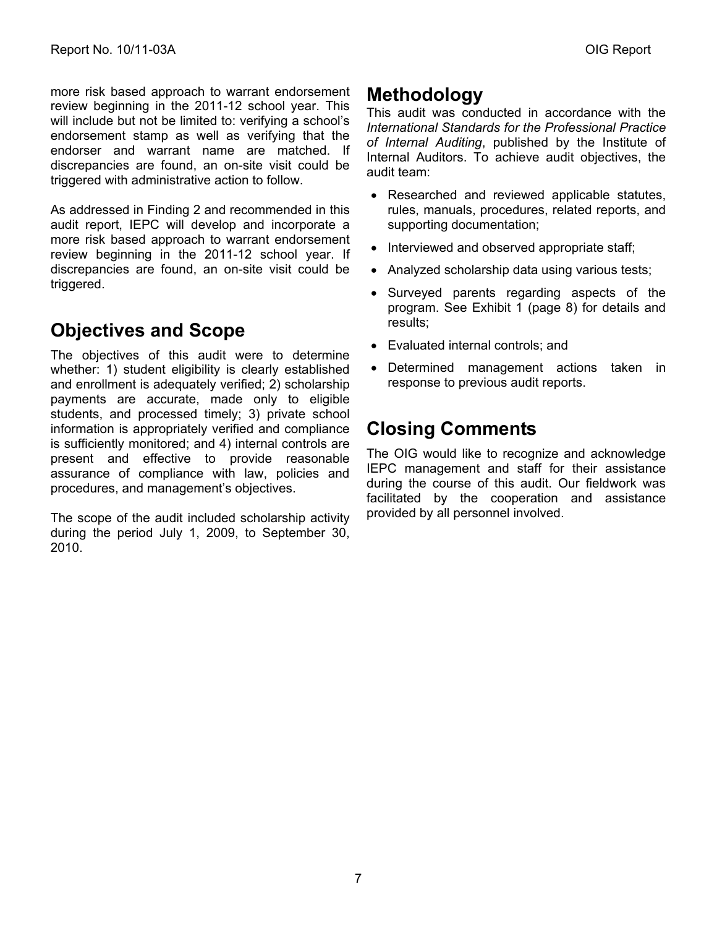more risk based approach to warrant endorsement review beginning in the 2011-12 school year. This will include but not be limited to: verifying a school's endorsement stamp as well as verifying that the endorser and warrant name are matched. If discrepancies are found, an on-site visit could be triggered with administrative action to follow.

As addressed in Finding 2 and recommended in this audit report, IEPC will develop and incorporate a more risk based approach to warrant endorsement review beginning in the 2011-12 school year. If discrepancies are found, an on-site visit could be triggered.

## **Objectives and Scope**

The objectives of this audit were to determine whether: 1) student eligibility is clearly established and enrollment is adequately verified; 2) scholarship payments are accurate, made only to eligible students, and processed timely; 3) private school information is appropriately verified and compliance is sufficiently monitored; and 4) internal controls are present and effective to provide reasonable assurance of compliance with law, policies and procedures, and management's objectives.

The scope of the audit included scholarship activity during the period July 1, 2009, to September 30, 2010.

### **Methodology**

This audit was conducted in accordance with the *International Standards for the Professional Practice of Internal Auditing*, published by the Institute of Internal Auditors. To achieve audit objectives, the audit team:

- Researched and reviewed applicable statutes, rules, manuals, procedures, related reports, and supporting documentation;
- Interviewed and observed appropriate staff;
- Analyzed scholarship data using various tests;
- Surveyed parents regarding aspects of the program. See Exhibit 1 (page 8) for details and results;
- • Evaluated internal controls; and
- Determined management actions taken in response to previous audit reports.

### **Closing Comments**

The OIG would like to recognize and acknowledge IEPC management and staff for their assistance during the course of this audit. Our fieldwork was facilitated by the cooperation and assistance provided by all personnel involved.